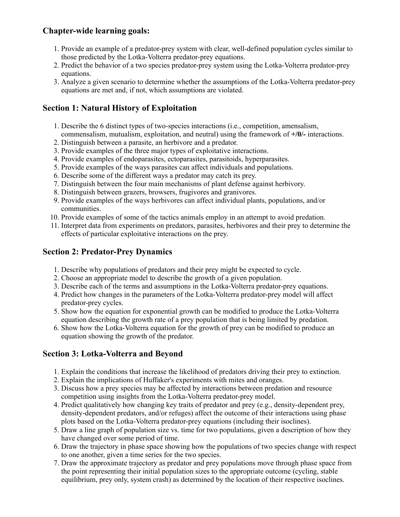## **Chapter-wide learning goals:**

- 1. Provide an example of a predator-prey system with clear, well-defined population cycles similar to those predicted by the Lotka-Volterra predator-prey equations.
- 2. Predict the behavior of a two species predator-prey system using the Lotka-Volterra predator-prey equations.
- 3. Analyze a given scenario to determine whether the assumptions of the Lotka-Volterra predator-prey equations are met and, if not, which assumptions are violated.

## **Section 1: Natural History of Exploitation**

- 1. Describe the 6 distinct types of two-species interactions (i.e., competition, amensalism, commensalism, mutualism, exploitation, and neutral) using the framework of **+/0/-** interactions.
- 2. Distinguish between a parasite, an herbivore and a predator.
- 3. Provide examples of the three major types of exploitative interactions.
- 4. Provide examples of endoparasites, ectoparasites, parasitoids, hyperparasites.
- 5. Provide examples of the ways parasites can affect individuals and populations.
- 6. Describe some of the different ways a predator may catch its prey.
- 7. Distinguish between the four main mechanisms of plant defense against herbivory.
- 8. Distinguish between grazers, browsers, frugivores and granivores.
- 9. Provide examples of the ways herbivores can affect individual plants, populations, and/or communities.
- 10. Provide examples of some of the tactics animals employ in an attempt to avoid predation.
- 11. Interpret data from experiments on predators, parasites, herbivores and their prey to determine the effects of particular exploitative interactions on the prey.

## **Section 2: Predator-Prey Dynamics**

- 1. Describe why populations of predators and their prey might be expected to cycle.
- 2. Choose an appropriate model to describe the growth of a given population.
- 3. Describe each of the terms and assumptions in the Lotka-Volterra predator-prey equations.
- 4. Predict how changes in the parameters of the Lotka-Volterra predator-prey model will affect predator-prey cycles.
- 5. Show how the equation for exponential growth can be modified to produce the Lotka-Volterra equation describing the growth rate of a prey population that is being limited by predation.
- 6. Show how the Lotka-Volterra equation for the growth of prey can be modified to produce an equation showing the growth of the predator.

# **Section 3: Lotka-Volterra and Beyond**

- 1. Explain the conditions that increase the likelihood of predators driving their prey to extinction.
- 2. Explain the implications of Huffaker's experiments with mites and oranges.
- 3. Discuss how a prey species may be affected by interactions between predation and resource competition using insights from the Lotka-Volterra predator-prey model.
- 4. Predict qualitatively how changing key traits of predator and prey (e.g., density-dependent prey, density-dependent predators, and/or refuges) affect the outcome of their interactions using phase plots based on the Lotka-Volterra predator-prey equations (including their isoclines).
- 5. Draw a line graph of population size vs. time for two populations, given a description of how they have changed over some period of time.
- 6. Draw the trajectory in phase space showing how the populations of two species change with respect to one another, given a time series for the two species.
- 7. Draw the approximate trajectory as predator and prey populations move through phase space from the point representing their initial population sizes to the appropriate outcome (cycling, stable equilibrium, prey only, system crash) as determined by the location of their respective isoclines.